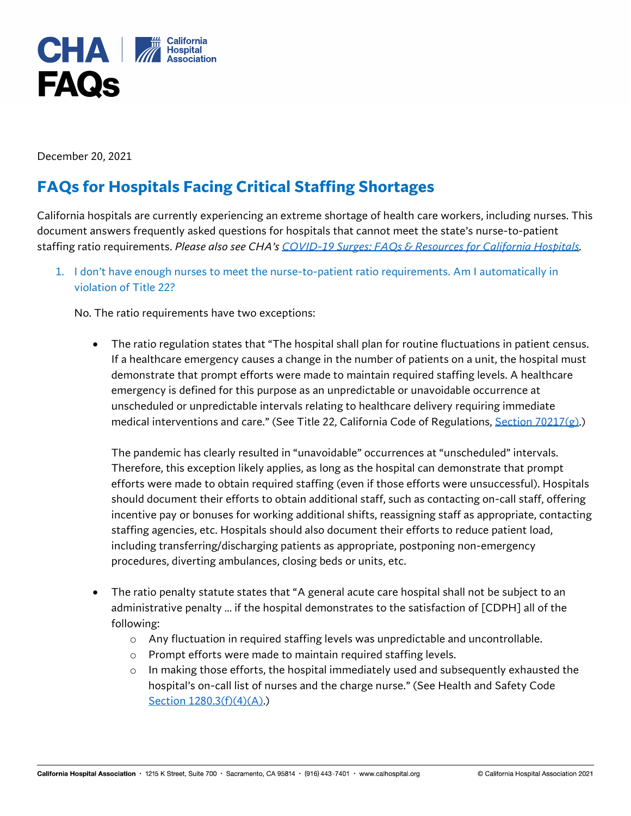

December 20, 2021

# **FAQs for Hospitals Facing Critical Staffing Shortages**

California hospitals are currently experiencing an extreme shortage of health care workers, including nurses. This document answers frequently asked questions for hospitals that cannot meet the state's nurse-to-patient staffing ratio requirements. *Please also see CHA's [COVID-19 Surges: FAQs & Resources for California Hospitals.](https://calhospital.org/wp-content/uploads/2021/11/COVID19_Surge-resources_FINAL-112221.pdf)* 

1. I don't have enough nurses to meet the nurse-to-patient ratio requirements. Am I automatically in violation of Title 22?

No. The ratio requirements have two exceptions:

• The ratio regulation states that "The hospital shall plan for routine fluctuations in patient census. If a healthcare emergency causes a change in the number of patients on a unit, the hospital must demonstrate that prompt efforts were made to maintain required staffing levels. A healthcare emergency is defined for this purpose as an unpredictable or unavoidable occurrence at unscheduled or unpredictable intervals relating to healthcare delivery requiring immediate medical interventions and care." (See Title 22, California Code of Regulations, [Section 70217\(g\).](https://govt.westlaw.com/calregs/Document/I8612C410941F11E29091E6B951DDF6CE?viewType=FullText&listSource=Search&originationContext=Search+Result&transitionType=SearchItem&contextData=(sc.Search)&navigationPath=Search%2fv1%2fresults%2fnavigation%2fi0ad62d340000017bd60ba41473a6237e%3fppcid%3d15105a0f589c4cbd8c912c3a7b4155a9%26Nav%3dREGULATION_PUBLICVIEW%26fragmentIdentifier%3dI8612C410941F11E29091E6B951DDF6CE%26startIndex%3d1%26transitionType%3dSearchItem%26contextData%3d%2528sc.Default%2529%26originationContext%3dSearch%2520Result&list=REGULATION_PUBLICVIEW&rank=2&t_T1=22&t_T2=70217&t_S1=CA+ADC+s))

The pandemic has clearly resulted in "unavoidable" occurrences at "unscheduled" intervals. Therefore, this exception likely applies, as long as the hospital can demonstrate that prompt efforts were made to obtain required staffing (even if those efforts were unsuccessful). Hospitals should document their efforts to obtain additional staff, such as contacting on-call staff, offering incentive pay or bonuses for working additional shifts, reassigning staff as appropriate, contacting staffing agencies, etc. Hospitals should also document their efforts to reduce patient load, including transferring/discharging patients as appropriate, postponing non-emergency procedures, diverting ambulances, closing beds or units, etc.

- The ratio penalty statute states that "A general acute care hospital shall not be subject to an administrative penalty … if the hospital demonstrates to the satisfaction of [CDPH] all of the following:
	- o Any fluctuation in required staffing levels was unpredictable and uncontrollable.
	- o Prompt efforts were made to maintain required staffing levels.
	- $\circ$  In making those efforts, the hospital immediately used and subsequently exhausted the hospital's on-call list of nurses and the charge nurse." (See Health and Safety Code [Section 1280.3\(f\)\(4\)\(A\).\)](https://leginfo.legislature.ca.gov/faces/codes_displaySection.xhtml?lawCode=HSC§ionNum=1280.3.)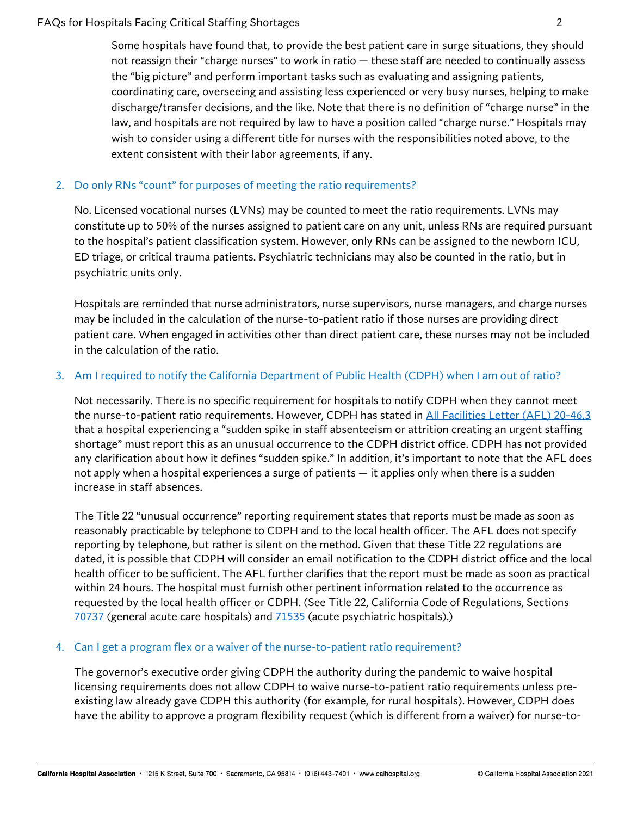## FAQs for Hospitals Facing Critical Staffing Shortages 2

Some hospitals have found that, to provide the best patient care in surge situations, they should not reassign their "charge nurses" to work in ratio — these staff are needed to continually assess the "big picture" and perform important tasks such as evaluating and assigning patients, coordinating care, overseeing and assisting less experienced or very busy nurses, helping to make discharge/transfer decisions, and the like. Note that there is no definition of "charge nurse" in the law, and hospitals are not required by law to have a position called "charge nurse." Hospitals may wish to consider using a different title for nurses with the responsibilities noted above, to the extent consistent with their labor agreements, if any.

## 2. Do only RNs "count" for purposes of meeting the ratio requirements?

No. Licensed vocational nurses (LVNs) may be counted to meet the ratio requirements. LVNs may constitute up to 50% of the nurses assigned to patient care on any unit, unless RNs are required pursuant to the hospital's patient classification system. However, only RNs can be assigned to the newborn ICU, ED triage, or critical trauma patients. Psychiatric technicians may also be counted in the ratio, but in psychiatric units only.

Hospitals are reminded that nurse administrators, nurse supervisors, nurse managers, and charge nurses may be included in the calculation of the nurse-to-patient ratio if those nurses are providing direct patient care. When engaged in activities other than direct patient care, these nurses may not be included in the calculation of the ratio.

## 3. Am I required to notify the California Department of Public Health (CDPH) when I am out of ratio?

Not necessarily. There is no specific requirement for hospitals to notify CDPH when they cannot meet the nurse-to-patient ratio requirements. However, CDPH has stated in [All Facilities Letter \(AFL\) 20-46.3](https://www.cdph.ca.gov/Programs/CHCQ/LCP/Pages/AFL-20-46.aspx) that a hospital experiencing a "sudden spike in staff absenteeism or attrition creating an urgent staffing shortage" must report this as an unusual occurrence to the CDPH district office. CDPH has not provided any clarification about how it defines "sudden spike." In addition, it's important to note that the AFL does not apply when a hospital experiences a surge of patients — it applies only when there is a sudden increase in staff absences.

The Title 22 "unusual occurrence" reporting requirement states that reports must be made as soon as reasonably practicable by telephone to CDPH and to the local health officer. The AFL does not specify reporting by telephone, but rather is silent on the method. Given that these Title 22 regulations are dated, it is possible that CDPH will consider an email notification to the CDPH district office and the local health officer to be sufficient. The AFL further clarifies that the report must be made as soon as practical within 24 hours. The hospital must furnish other pertinent information related to the occurrence as requested by the local health officer or CDPH. (See Title 22, California Code of Regulations, Sections [70737](https://govt.westlaw.com/calregs/Document/I1DACB150FB1711DEACA9F33E9EE53480?viewType=FullText&listSource=Search&originationContext=Search+Result&transitionType=SearchItem&contextData=(sc.Search)&navigationPath=Search%2fv1%2fresults%2fnavigation%2fi0ad62d340000017bd60c959473a623a3%3fppcid%3d7e8092959dad4925b10e87f982926db3%26Nav%3dREGULATION_PUBLICVIEW%26fragmentIdentifier%3dI1DACB150FB1711DEACA9F33E9EE53480%26startIndex%3d1%26transitionType%3dSearchItem%26contextData%3d%2528sc.Default%2529%26originationContext%3dSearch%2520Result&list=REGULATION_PUBLICVIEW&rank=1&t_T1=22&t_T2=70737&t_S1=CA+ADC+s) (general acute care hospitals) and [71535](https://govt.westlaw.com/calregs/Document/I465C5790FB1711DEACA9F33E9EE53480?viewType=FullText&listSource=Search&originationContext=Search+Result&transitionType=SearchItem&contextData=(sc.Search)&navigationPath=Search%2fv1%2fresults%2fnavigation%2fi0ad62d330000017bd60d1f69f489ca2b%3fppcid%3da3b374d100ee48d1af816ae68e4f163b%26Nav%3dREGULATION_PUBLICVIEW%26fragmentIdentifier%3dI465C5790FB1711DEACA9F33E9EE53480%26startIndex%3d1%26transitionType%3dSearchItem%26contextData%3d%2528sc.Default%2529%26originationContext%3dSearch%2520Result&list=REGULATION_PUBLICVIEW&rank=1&t_T1=22&t_T2=71535&t_S1=CA+ADC+s) (acute psychiatric hospitals).)

### 4. Can I get a program flex or a waiver of the nurse-to-patient ratio requirement?

The governor's executive order giving CDPH the authority during the pandemic to waive hospital licensing requirements does not allow CDPH to waive nurse-to-patient ratio requirements unless preexisting law already gave CDPH this authority (for example, for rural hospitals). However, CDPH does have the ability to approve a program flexibility request (which is different from a waiver) for nurse-to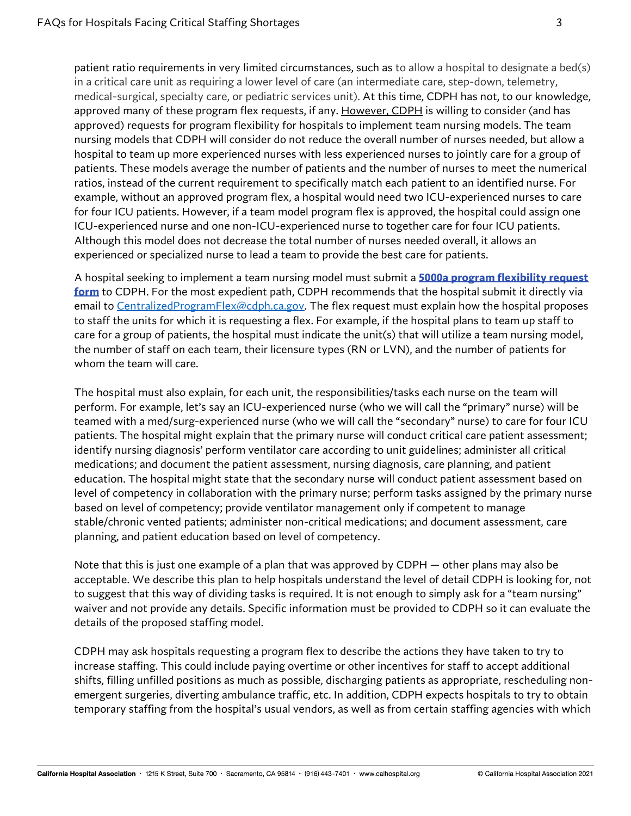patient ratio requirements in very limited circumstances, such as to allow a hospital to designate a bed(s) in a critical care unit as requiring a lower level of care (an intermediate care, step-down, telemetry, medical-surgical, specialty care, or pediatric services unit). At this time, CDPH has not, to our knowledge, approved many of these program flex requests, if any. However, CDPH is willing to consider (and has approved) requests for program flexibility for hospitals to implement team nursing models. The team nursing models that CDPH will consider do not reduce the overall number of nurses needed, but allow a hospital to team up more experienced nurses with less experienced nurses to jointly care for a group of patients. These models average the number of patients and the number of nurses to meet the numerical ratios, instead of the current requirement to specifically match each patient to an identified nurse. For example, without an approved program flex, a hospital would need two ICU-experienced nurses to care for four ICU patients. However, if a team model program flex is approved, the hospital could assign one ICU-experienced nurse and one non-ICU-experienced nurse to together care for four ICU patients. Although this model does not decrease the total number of nurses needed overall, it allows an experienced or specialized nurse to lead a team to provide the best care for patients.

A hospital seeking to implement a team nursing model must submit a **[5000a program flexibility request](https://nam02.safelinks.protection.outlook.com/?url=https%3A%2F%2Felink.clickdimensions.com%2Fc%2F6%2F%3FT%3DODg0NzgzNzQ%253AMDItYjIxMjMwLTE2ZjU4OWRkNDAyZjQzZmI5ODM4YmM1ZDVjMGNiYWVm%253AcmxlZ2FyZUBjYWxob3NwaXRhbC5vcmc%253AY29udGFjdC03NWNlNDA2OGExMTRlYjExYTgxMzAwMGQzYTM3NWE0ZC0zNDAwMGU4Mjk4MGY0NjYzYjFlNWQ5NmVkYTE4YjAzMQ%253AZmFsc2U%253AMA%253A%253AaHR0cHM6Ly93d3cuY2RwaC5jYS5nb3YvQ0RQSCUyMERvY3VtZW50JTIwTGlicmFyeS9Db250cm9sbGVkRm9ybXMvY2RwaDUwMDBhLnBkZj9fY2xkZWU9Y214bFoyRnlaVUJqWVd4b2IzTndhWFJoYkM1dmNtYyUzZCZyZWNpcGllbnRpZD1jb250YWN0LTc1Y2U0MDY4YTExNGViMTFhODEzMDAwZDNhMzc1YTRkLTM0MDAwZTgyOTgwZjQ2NjNiMWU1ZDk2ZWRhMThiMDMxJmVzaWQ9ZjY4ODU4NjAtNmEwMC1lYzExLTk0ZWYtMDAyMjQ4MDhiZGFk%26K%3DlF0xiWEUQJt2nK5dgIV_Yg&data=04%7C01%7Clrichardson%40calhospital.org%7C818c3e870da44dde4f0c08d962a31815%7C27a14bf02cbf48cb9e8c758653aa88df%7C1%7C0%7C637649274893867115%7CUnknown%7CTWFpbGZsb3d8eyJWIjoiMC4wLjAwMDAiLCJQIjoiV2luMzIiLCJBTiI6Ik1haWwiLCJXVCI6Mn0%3D%7C1000&sdata=y8I60VRFEQoe%2BwpWSBjA0euSRNl8IuiuEZn%2BqCuZyjU%3D&reserved=0)  [form](https://nam02.safelinks.protection.outlook.com/?url=https%3A%2F%2Felink.clickdimensions.com%2Fc%2F6%2F%3FT%3DODg0NzgzNzQ%253AMDItYjIxMjMwLTE2ZjU4OWRkNDAyZjQzZmI5ODM4YmM1ZDVjMGNiYWVm%253AcmxlZ2FyZUBjYWxob3NwaXRhbC5vcmc%253AY29udGFjdC03NWNlNDA2OGExMTRlYjExYTgxMzAwMGQzYTM3NWE0ZC0zNDAwMGU4Mjk4MGY0NjYzYjFlNWQ5NmVkYTE4YjAzMQ%253AZmFsc2U%253AMA%253A%253AaHR0cHM6Ly93d3cuY2RwaC5jYS5nb3YvQ0RQSCUyMERvY3VtZW50JTIwTGlicmFyeS9Db250cm9sbGVkRm9ybXMvY2RwaDUwMDBhLnBkZj9fY2xkZWU9Y214bFoyRnlaVUJqWVd4b2IzTndhWFJoYkM1dmNtYyUzZCZyZWNpcGllbnRpZD1jb250YWN0LTc1Y2U0MDY4YTExNGViMTFhODEzMDAwZDNhMzc1YTRkLTM0MDAwZTgyOTgwZjQ2NjNiMWU1ZDk2ZWRhMThiMDMxJmVzaWQ9ZjY4ODU4NjAtNmEwMC1lYzExLTk0ZWYtMDAyMjQ4MDhiZGFk%26K%3DlF0xiWEUQJt2nK5dgIV_Yg&data=04%7C01%7Clrichardson%40calhospital.org%7C818c3e870da44dde4f0c08d962a31815%7C27a14bf02cbf48cb9e8c758653aa88df%7C1%7C0%7C637649274893867115%7CUnknown%7CTWFpbGZsb3d8eyJWIjoiMC4wLjAwMDAiLCJQIjoiV2luMzIiLCJBTiI6Ik1haWwiLCJXVCI6Mn0%3D%7C1000&sdata=y8I60VRFEQoe%2BwpWSBjA0euSRNl8IuiuEZn%2BqCuZyjU%3D&reserved=0)** to CDPH. For the most expedient path, CDPH recommends that the hospital submit it directly via email to [CentralizedProgramFlex@cdph.ca.gov.](mailto:CentralizedProgramFlex@cdph.ca.gov) The flex request must explain how the hospital proposes to staff the units for which it is requesting a flex. For example, if the hospital plans to team up staff to care for a group of patients, the hospital must indicate the unit(s) that will utilize a team nursing model, the number of staff on each team, their licensure types (RN or LVN), and the number of patients for whom the team will care.

The hospital must also explain, for each unit, the responsibilities/tasks each nurse on the team will perform. For example, let's say an ICU-experienced nurse (who we will call the "primary" nurse) will be teamed with a med/surg-experienced nurse (who we will call the "secondary" nurse) to care for four ICU patients. The hospital might explain that the primary nurse will conduct critical care patient assessment; identify nursing diagnosis' perform ventilator care according to unit guidelines; administer all critical medications; and document the patient assessment, nursing diagnosis, care planning, and patient education. The hospital might state that the secondary nurse will conduct patient assessment based on level of competency in collaboration with the primary nurse; perform tasks assigned by the primary nurse based on level of competency; provide ventilator management only if competent to manage stable/chronic vented patients; administer non-critical medications; and document assessment, care planning, and patient education based on level of competency.

Note that this is just one example of a plan that was approved by CDPH — other plans may also be acceptable. We describe this plan to help hospitals understand the level of detail CDPH is looking for, not to suggest that this way of dividing tasks is required. It is not enough to simply ask for a "team nursing" waiver and not provide any details. Specific information must be provided to CDPH so it can evaluate the details of the proposed staffing model.

CDPH may ask hospitals requesting a program flex to describe the actions they have taken to try to increase staffing. This could include paying overtime or other incentives for staff to accept additional shifts, filling unfilled positions as much as possible, discharging patients as appropriate, rescheduling nonemergent surgeries, diverting ambulance traffic, etc. In addition, CDPH expects hospitals to try to obtain temporary staffing from the hospital's usual vendors, as well as from certain staffing agencies with which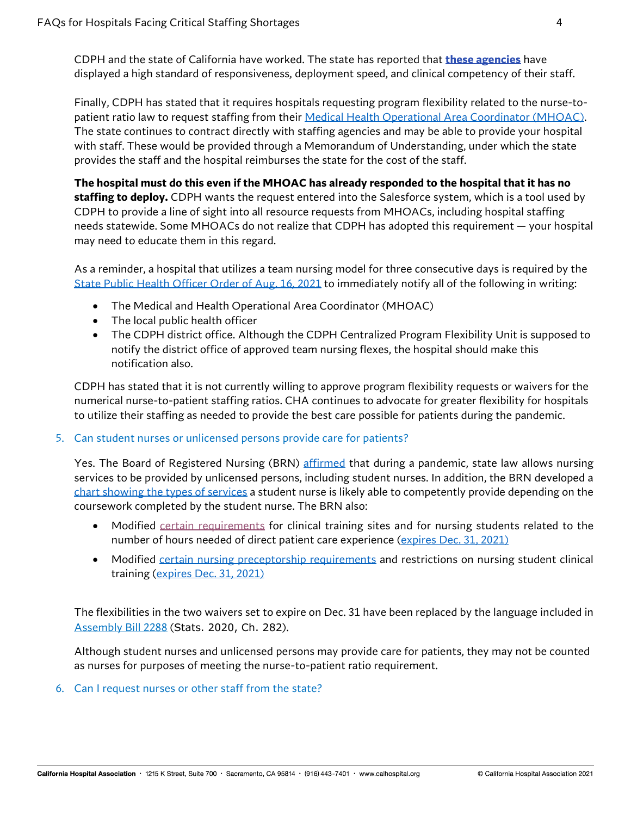CDPH and the state of California have worked. The state has reported that **[these agencies](https://nam02.safelinks.protection.outlook.com/?url=https%3A%2F%2Felink.clickdimensions.com%2Fc%2F6%2F%3FT%3DODg0NzgzNzQ%253AMDItYjIxMjI5LWM5N2Q1YzAzYmEzYTQ1MzhiYWZkM2YyNjZmOGU3NjVi%253AcmxlZ2FyZUBjYWxob3NwaXRhbC5vcmc%253AY29udGFjdC03NWNlNDA2OGExMTRlYjExYTgxMzAwMGQzYTM3NWE0ZC0xOGVlZTE1MTY0NDY0MTc0OTViMTY5OWNhNGMxNmUwYg%253AZmFsc2U%253AOQ%253A%253AaHR0cHM6Ly9jYWxob3NwaXRhbC5vcmcvd3AtY29udGVudC91cGxvYWRzLzIwMjEvMDgvU3RhZmZpbmctQWdlbmNpZXMucGRmP19jbGRlZT1jbXhsWjJGeVpVQmpZV3hvYjNOd2FYUmhiQzV2Y21jJTNkJnJlY2lwaWVudGlkPWNvbnRhY3QtNzVjZTQwNjhhMTE0ZWIxMWE4MTMwMDBkM2EzNzVhNGQtMThlZWUxNTE2NDQ2NDE3NDk1YjE2OTljYTRjMTZlMGImZXNpZD1mZmU3OGFiZS1lNWZlLWViMTEtOTRlZi0wMDIyNDgwOGJkYWQ%26K%3DdMvS7sC9-QCfjKVGcV1H-A&data=04%7C01%7Clrichardson%40calhospital.org%7C04cc0f54387249021aad08d961ac99b9%7C27a14bf02cbf48cb9e8c758653aa88df%7C1%7C0%7C637648216249488637%7CUnknown%7CTWFpbGZsb3d8eyJWIjoiMC4wLjAwMDAiLCJQIjoiV2luMzIiLCJBTiI6Ik1haWwiLCJXVCI6Mn0%3D%7C1000&sdata=ThxRedIfEw5pmnn%2BGJrVqQaD9e8ale%2B60Pf85eOaviA%3D&reserved=0)** have displayed a high standard of responsiveness, deployment speed, and clinical competency of their staff.

Finally, CDPH has stated that it requires hospitals requesting program flexibility related to the nurse-topatient ratio law to request staffing from thei[r Medical Health Operational Area Coordinator \(MHOAC\).](https://emsa.ca.gov/medical-health-operational-area-coordinator/) The state continues to contract directly with staffing agencies and may be able to provide your hospital with staff. These would be provided through a Memorandum of Understanding, under which the state provides the staff and the hospital reimburses the state for the cost of the staff.

**The hospital must do this even if the MHOAC has already responded to the hospital that it has no staffing to deploy.** CDPH wants the request entered into the Salesforce system, which is a tool used by CDPH to provide a line of sight into all resource requests from MHOACs, including hospital staffing needs statewide. Some MHOACs do not realize that CDPH has adopted this requirement — your hospital may need to educate them in this regard.

As a reminder, a hospital that utilizes a team nursing model for three consecutive days is required by the [State Public Health Officer Order of Aug. 16, 2021](https://www.cdph.ca.gov/Programs/CID/DCDC/Pages/COVID-19/Order-of-the-State-Public-Health-Officer-Hospital-and-Health-Care-System-Surge.aspx) to immediately notify all of the following in writing:

- The Medical and Health Operational Area Coordinator (MHOAC)
- The local public health officer
- The CDPH district office. Although the CDPH Centralized Program Flexibility Unit is supposed to notify the district office of approved team nursing flexes, the hospital should make this notification also.

CDPH has stated that it is not currently willing to approve program flexibility requests or waivers for the numerical nurse-to-patient staffing ratios. CHA continues to advocate for greater flexibility for hospitals to utilize their staffing as needed to provide the best care possible for patients during the pandemic.

### 5. Can student nurses or unlicensed persons provide care for patients?

Yes. The Board of Registered Nursing (BRN) [affirmed](https://www.rn.ca.gov/pdfs/forms/covid_news_release.pdf) that during a pandemic, state law allows nursing services to be provided by unlicensed persons, including student nurses. In addition, the BRN developed a [chart showing the types of](https://www.rn.ca.gov/pdfs/forms/emergency_care_matrix.pdf) services a student nurse is likely able to competently provide depending on the coursework completed by the student nurse. The BRN also:

- Modified [certain requirements](https://www.dca.ca.gov/licensees/clinical_hours.pdf) for clinical training sites and for nursing students related to the number of hours needed of direct patient care experience [\(expires Dec. 31, 2021\)](https://www.dca.ca.gov/licensees/dca_21_182.pdf)
- Modified [certain nursing preceptorship requirements](https://www.dca.ca.gov/licensees/nurse_preceptorship_requirements.pdf) and restrictions on nursing student clinical training [\(expires Dec. 31, 2021\)](https://www.dca.ca.gov/licensees/dca_21_183.pdf)

The flexibilities in the two waivers set to expire on Dec. 31 have been replaced by the language included in [Assembly Bill 2288](https://leginfo.legislature.ca.gov/faces/billNavClient.xhtml?bill_id=201920200AB2288) (Stats. 2020, Ch. 282).

Although student nurses and unlicensed persons may provide care for patients, they may not be counted as nurses for purposes of meeting the nurse-to-patient ratio requirement.

6. Can I request nurses or other staff from the state?